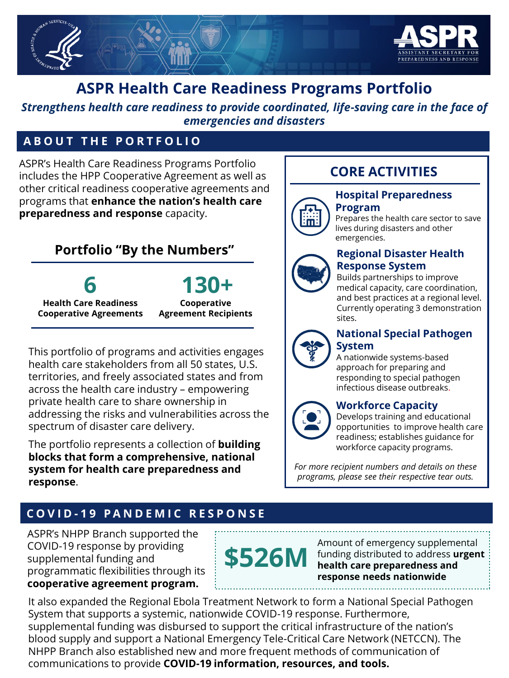

## **ASPR Health Care Readiness Programs Portfolio**

*Strengthens health care readiness to provide coordinated, life-saving care in the face of emergencies and disasters*

### **A B O U T T H E P O R T F O L I O**

ASPR's Health Care Readiness Programs Portfolio includes the HPP Cooperative Agreement as well as other critical readiness cooperative agreements and programs that **enhance the nation's health care preparedness and response** capacity.

## **Portfolio "By the Numbers"**

# **6**

**130+**

**Health Care Readiness Cooperative Agreements**

**Cooperative Agreement Recipients**

This portfolio of programs and activities engages health care stakeholders from all 50 states, U.S. territories, and freely associated states and from across the health care industry – empowering private health care to share ownership in addressing the risks and vulnerabilities across the spectrum of disaster care delivery.

The portfolio represents a collection of **building blocks that form a comprehensive, national system for health care preparedness and response**.

## **CORE ACTIVITIES**



**Program** Prepares the health care sector to save lives during disasters and other emergencies.



#### **Regional Disaster Health Response System**

Builds partnerships to improve medical capacity, care coordination, and best practices at a regional level. Currently operating 3 demonstration sites.



#### **National Special Pathogen System**

A nationwide systems-based approach for preparing and responding to special pathogen infectious disease outbreaks.

#### **Workforce Capacity**

Develops training and educational opportunities to improve health care readiness; establishes guidance for workforce capacity programs.

*For more recipient numbers and details on these programs, please see their respective tear outs.* 

## **C O V I D - 1 9 P A N D E M I C R E S P O N S E**

ASPR's NHPP Branch supported the COVID-19 response by providing supplemental funding and programmatic flexibilities through its **cooperative agreement program.** 



Amount of emergency supplemental funding distributed to address **urgent health care preparedness and response needs nationwide**

It also expanded the Regional Ebola Treatment Network to form a National Special Pathogen System that supports a systemic, nationwide COVID-19 response. Furthermore, supplemental funding was disbursed to support the critical infrastructure of the nation's blood supply and support a National Emergency Tele-Critical Care Network (NETCCN). The NHPP Branch also established new and more frequent methods of communication of communications to provide **COVID-19 information, resources, and tools.**